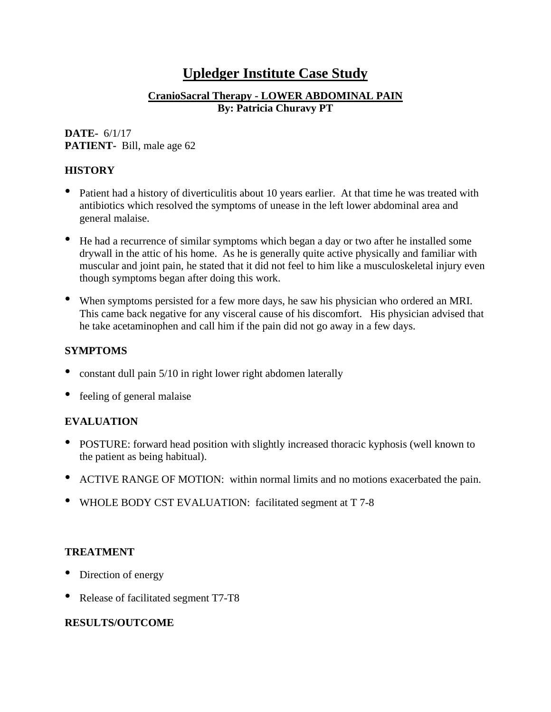# **Upledger Institute Case Study**

### **CranioSacral Therapy - LOWER ABDOMINAL PAIN By: Patricia Churavy PT**

#### **DATE-** 6/1/17 **PATIENT-** Bill, male age 62

## **HISTORY**

- Patient had a history of diverticulitis about 10 years earlier. At that time he was treated with antibiotics which resolved the symptoms of unease in the left lower abdominal area and general malaise.
- He had a recurrence of similar symptoms which began a day or two after he installed some drywall in the attic of his home. As he is generally quite active physically and familiar with muscular and joint pain, he stated that it did not feel to him like a musculoskeletal injury even though symptoms began after doing this work.
- When symptoms persisted for <sup>a</sup> few more days, he saw his physician who ordered an MRI. This came back negative for any visceral cause of his discomfort. His physician advised that he take acetaminophen and call him if the pain did not go away in a few days.

### **SYMPTOMS**

- constant dull pain 5/10 in right lower right abdomen laterally
- feeling of general malaise

# **EVALUATION**

- POSTURE: forward head position with slightly increased thoracic kyphosis (well known to the patient as being habitual).
- ACTIVE RANGE OF MOTION: within normal limits and no motions exacerbated the pain.
- WHOLE BODY CST EVALUATION: facilitated segment at <sup>T</sup> 7-8

### **TREATMENT**

- Direction of energy
- Release of facilitated segment T7-T8

# **RESULTS/OUTCOME**